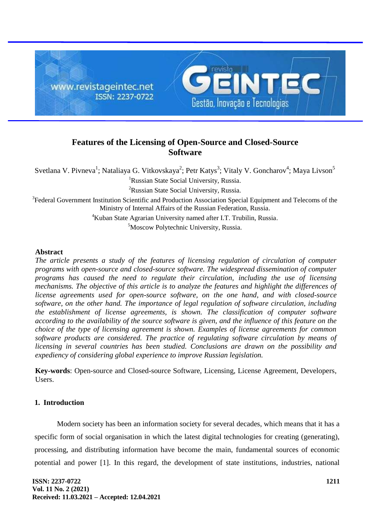

# **Features of the Licensing of Open-Source and Closed-Source Software**

Svetlana V. Pivneva<sup>1</sup>; Nataliaya G. Vitkovskaya<sup>2</sup>; Petr Katys<sup>3</sup>; Vitaly V. Goncharov<sup>4</sup>; Maya Livson<sup>5</sup> <sup>1</sup>Russian State Social University, Russia.

<sup>2</sup>Russian State Social University, Russia.

<sup>3</sup> Federal Government Institution Scientific and Production Association Special Equipment and Telecoms of the Ministry of Internal Affairs of the Russian Federation, Russia.

<sup>4</sup>Kuban State Agrarian University named after I.T. Trubilin, Russia.

<sup>5</sup>Moscow Polytechnic University, Russia.

### **Abstract**

*The article presents a study of the features of licensing regulation of circulation of computer programs with open-source and closed-source software. The widespread dissemination of computer programs has caused the need to regulate their circulation, including the use of licensing mechanisms. The objective of this article is to analyze the features and highlight the differences of license agreements used for open-source software, on the one hand, and with closed-source software, on the other hand. The importance of legal regulation of software circulation, including the establishment of license agreements, is shown. The classification of computer software according to the availability of the source software is given, and the influence of this feature on the choice of the type of licensing agreement is shown. Examples of license agreements for common software products are considered. The practice of regulating software circulation by means of licensing in several countries has been studied. Conclusions are drawn on the possibility and expediency of considering global experience to improve Russian legislation.*

**Key-words**: Open-source and Closed-source Software, Licensing, License Agreement, Developers, Users.

## **1. Introduction**

Modern society has been an information society for several decades, which means that it has a specific form of social organisation in which the latest digital technologies for creating (generating), processing, and distributing information have become the main, fundamental sources of economic potential and power [1]. In this regard, the development of state institutions, industries, national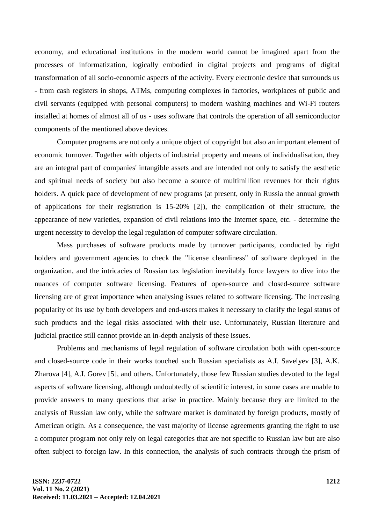economy, and educational institutions in the modern world cannot be imagined apart from the processes of informatization, logically embodied in digital projects and programs of digital transformation of all socio-economic aspects of the activity. Every electronic device that surrounds us - from cash registers in shops, ATMs, computing complexes in factories, workplaces of public and civil servants (equipped with personal computers) to modern washing machines and Wi-Fi routers installed at homes of almost all of us - uses software that controls the operation of all semiconductor components of the mentioned above devices.

Computer programs are not only a unique object of copyright but also an important element of economic turnover. Together with objects of industrial property and means of individualisation, they are an integral part of companies' intangible assets and are intended not only to satisfy the aesthetic and spiritual needs of society but also become a source of multimillion revenues for their rights holders. A quick pace of development of new programs (at present, only in Russia the annual growth of applications for their registration is 15-20% [2]), the complication of their structure, the appearance of new varieties, expansion of civil relations into the Internet space, etc. - determine the urgent necessity to develop the legal regulation of computer software circulation.

Mass purchases of software products made by turnover participants, conducted by right holders and government agencies to check the "license cleanliness" of software deployed in the organization, and the intricacies of Russian tax legislation inevitably force lawyers to dive into the nuances of computer software licensing. Features of open-source and closed-source software licensing are of great importance when analysing issues related to software licensing. The increasing popularity of its use by both developers and end-users makes it necessary to clarify the legal status of such products and the legal risks associated with their use. Unfortunately, Russian literature and judicial practice still cannot provide an in-depth analysis of these issues.

Problems and mechanisms of legal regulation of software circulation both with open-source and closed-source code in their works touched such Russian specialists as A.I. Savelyev [3], A.K. Zharova [4], A.I. Gorev [5], and others. Unfortunately, those few Russian studies devoted to the legal aspects of software licensing, although undoubtedly of scientific interest, in some cases are unable to provide answers to many questions that arise in practice. Mainly because they are limited to the analysis of Russian law only, while the software market is dominated by foreign products, mostly of American origin. As a consequence, the vast majority of license agreements granting the right to use a computer program not only rely on legal categories that are not specific to Russian law but are also often subject to foreign law. In this connection, the analysis of such contracts through the prism of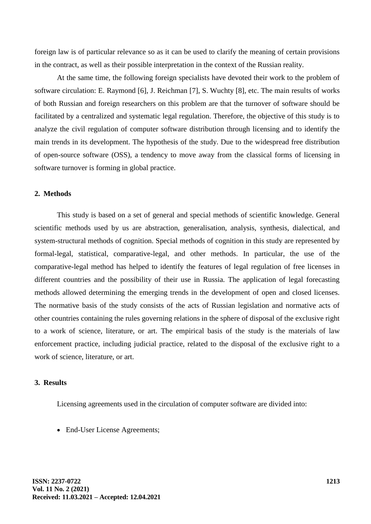foreign law is of particular relevance so as it can be used to clarify the meaning of certain provisions in the contract, as well as their possible interpretation in the context of the Russian reality.

At the same time, the following foreign specialists have devoted their work to the problem of software circulation: E. Raymond [6], J. Reichman [7], S. Wuchty [8], etc. The main results of works of both Russian and foreign researchers on this problem are that the turnover of software should be facilitated by a centralized and systematic legal regulation. Therefore, the objective of this study is to analyze the civil regulation of computer software distribution through licensing and to identify the main trends in its development. The hypothesis of the study. Due to the widespread free distribution of open-source software (OSS), a tendency to move away from the classical forms of licensing in software turnover is forming in global practice.

### **2. Methods**

This study is based on a set of general and special methods of scientific knowledge. General scientific methods used by us are abstraction, generalisation, analysis, synthesis, dialectical, and system-structural methods of cognition. Special methods of cognition in this study are represented by formal-legal, statistical, comparative-legal, and other methods. In particular, the use of the comparative-legal method has helped to identify the features of legal regulation of free licenses in different countries and the possibility of their use in Russia. The application of legal forecasting methods allowed determining the emerging trends in the development of open and closed licenses. The normative basis of the study consists of the acts of Russian legislation and normative acts of other countries containing the rules governing relations in the sphere of disposal of the exclusive right to a work of science, literature, or art. The empirical basis of the study is the materials of law enforcement practice, including judicial practice, related to the disposal of the exclusive right to a work of science, literature, or art.

#### **3. Results**

Licensing agreements used in the circulation of computer software are divided into:

• End-User License Agreements;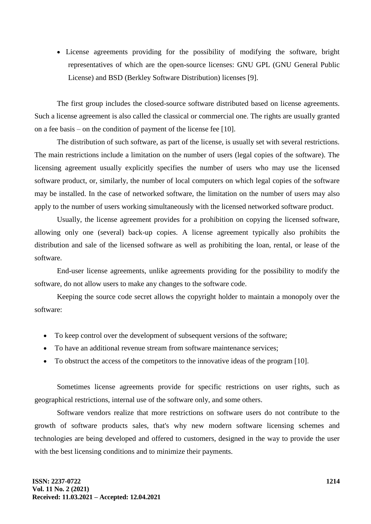• License agreements providing for the possibility of modifying the software, bright representatives of which are the open-source licenses: GNU GPL (GNU General Public License) and BSD (Berkley Software Distribution) licenses [9].

The first group includes the closed-source software distributed based on license agreements. Such a license agreement is also called the classical or commercial one. The rights are usually granted on a fee basis – on the condition of payment of the license fee [10].

The distribution of such software, as part of the license, is usually set with several restrictions. The main restrictions include a limitation on the number of users (legal copies of the software). The licensing agreement usually explicitly specifies the number of users who may use the licensed software product, or, similarly, the number of local computers on which legal copies of the software may be installed. In the case of networked software, the limitation on the number of users may also apply to the number of users working simultaneously with the licensed networked software product.

Usually, the license agreement provides for a prohibition on copying the licensed software, allowing only one (several) back-up copies. A license agreement typically also prohibits the distribution and sale of the licensed software as well as prohibiting the loan, rental, or lease of the software.

End-user license agreements, unlike agreements providing for the possibility to modify the software, do not allow users to make any changes to the software code.

Keeping the source code secret allows the copyright holder to maintain a monopoly over the software:

- To keep control over the development of subsequent versions of the software;
- To have an additional revenue stream from software maintenance services;
- To obstruct the access of the competitors to the innovative ideas of the program [10].

Sometimes license agreements provide for specific restrictions on user rights, such as geographical restrictions, internal use of the software only, and some others.

Software vendors realize that more restrictions on software users do not contribute to the growth of software products sales, that's why new modern software licensing schemes and technologies are being developed and offered to customers, designed in the way to provide the user with the best licensing conditions and to minimize their payments.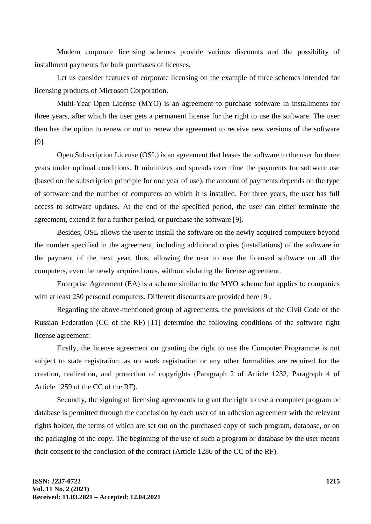Modern corporate licensing schemes provide various discounts and the possibility of installment payments for bulk purchases of licenses.

Let us consider features of corporate licensing on the example of three schemes intended for licensing products of Microsoft Corporation.

Multi-Year Open License (MYO) is an agreement to purchase software in installments for three years, after which the user gets a permanent license for the right to use the software. The user then has the option to renew or not to renew the agreement to receive new versions of the software [9].

Open Subscription License (OSL) is an agreement that leases the software to the user for three years under optimal conditions. It minimizes and spreads over time the payments for software use (based on the subscription principle for one year of use); the amount of payments depends on the type of software and the number of computers on which it is installed. For three years, the user has full access to software updates. At the end of the specified period, the user can either terminate the agreement, extend it for a further period, or purchase the software [9].

Besides, OSL allows the user to install the software on the newly acquired computers beyond the number specified in the agreement, including additional copies (installations) of the software in the payment of the next year, thus, allowing the user to use the licensed software on all the computers, even the newly acquired ones, without violating the license agreement.

Enterprise Agreement (EA) is a scheme similar to the MYO scheme but applies to companies with at least 250 personal computers. Different discounts are provided here [9].

Regarding the above-mentioned group of agreements, the provisions of the Civil Code of the Russian Federation (CC of the RF) [11] determine the following conditions of the software right license agreement:

Firstly, the license agreement on granting the right to use the Computer Programme is not subject to state registration, as no work registration or any other formalities are required for the creation, realization, and protection of copyrights (Paragraph 2 of Article 1232, Paragraph 4 of Article 1259 of the CC of the RF).

Secondly, the signing of licensing agreements to grant the right to use a computer program or database is permitted through the conclusion by each user of an adhesion agreement with the relevant rights holder, the terms of which are set out on the purchased copy of such program, database, or on the packaging of the copy. The beginning of the use of such a program or database by the user means their consent to the conclusion of the contract (Article 1286 of the CC of the RF).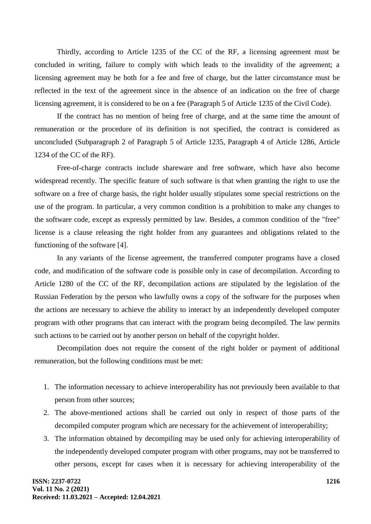Thirdly, according to Article 1235 of the CC of the RF, a licensing agreement must be concluded in writing, failure to comply with which leads to the invalidity of the agreement; a licensing agreement may be both for a fee and free of charge, but the latter circumstance must be reflected in the text of the agreement since in the absence of an indication on the free of charge licensing agreement, it is considered to be on a fee (Paragraph 5 of Article 1235 of the Civil Code).

If the contract has no mention of being free of charge, and at the same time the amount of remuneration or the procedure of its definition is not specified, the contract is considered as unconcluded (Subparagraph 2 of Paragraph 5 of Article 1235, Paragraph 4 of Article 1286, Article 1234 of the CC of the RF).

Free-of-charge contracts include shareware and free software, which have also become widespread recently. The specific feature of such software is that when granting the right to use the software on a free of charge basis, the right holder usually stipulates some special restrictions on the use of the program. In particular, a very common condition is a prohibition to make any changes to the software code, except as expressly permitted by law. Besides, a common condition of the "free" license is a clause releasing the right holder from any guarantees and obligations related to the functioning of the software [4].

In any variants of the license agreement, the transferred computer programs have a closed code, and modification of the software code is possible only in case of decompilation. According to Article 1280 of the CC of the RF, decompilation actions are stipulated by the legislation of the Russian Federation by the person who lawfully owns a copy of the software for the purposes when the actions are necessary to achieve the ability to interact by an independently developed computer program with other programs that can interact with the program being decompiled. The law permits such actions to be carried out by another person on behalf of the copyright holder.

Decompilation does not require the consent of the right holder or payment of additional remuneration, but the following conditions must be met:

- 1. The information necessary to achieve interoperability has not previously been available to that person from other sources;
- 2. The above-mentioned actions shall be carried out only in respect of those parts of the decompiled computer program which are necessary for the achievement of interoperability;
- 3. The information obtained by decompiling may be used only for achieving interoperability of the independently developed computer program with other programs, may not be transferred to other persons, except for cases when it is necessary for achieving interoperability of the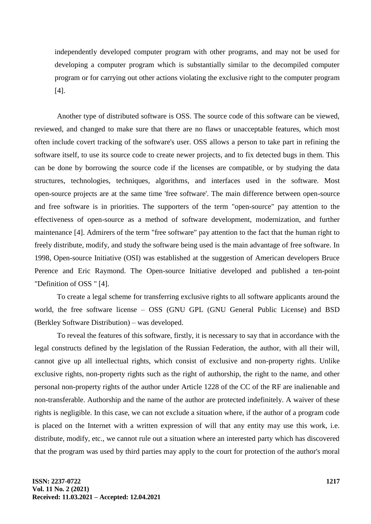independently developed computer program with other programs, and may not be used for developing a computer program which is substantially similar to the decompiled computer program or for carrying out other actions violating the exclusive right to the computer program [4].

Another type of distributed software is OSS. The source code of this software can be viewed, reviewed, and changed to make sure that there are no flaws or unacceptable features, which most often include covert tracking of the software's user. OSS allows a person to take part in refining the software itself, to use its source code to create newer projects, and to fix detected bugs in them. This can be done by borrowing the source code if the licenses are compatible, or by studying the data structures, technologies, techniques, algorithms, and interfaces used in the software. Most open-source projects are at the same time 'free software'. The main difference between open-source and free software is in priorities. The supporters of the term "open-source" pay attention to the effectiveness of open-source as a method of software development, modernization, and further maintenance [4]. Admirers of the term "free software" pay attention to the fact that the human right to freely distribute, modify, and study the software being used is the main advantage of free software. In 1998, Open-source Initiative (OSI) was established at the suggestion of American developers Bruce Perence and Eric Raymond. The Open-source Initiative developed and published a ten-point "Definition of OSS " [4].

To create a legal scheme for transferring exclusive rights to all software applicants around the world, the free software license – OSS (GNU GPL (GNU General Public License) and BSD (Berkley Software Distribution) – was developed.

To reveal the features of this software, firstly, it is necessary to say that in accordance with the legal constructs defined by the legislation of the Russian Federation, the author, with all their will, cannot give up all intellectual rights, which consist of exclusive and non-property rights. Unlike exclusive rights, non-property rights such as the right of authorship, the right to the name, and other personal non-property rights of the author under Article 1228 of the CC of the RF are inalienable and non-transferable. Authorship and the name of the author are protected indefinitely. A waiver of these rights is negligible. In this case, we can not exclude a situation where, if the author of a program code is placed on the Internet with a written expression of will that any entity may use this work, i.e. distribute, modify, etc., we cannot rule out a situation where an interested party which has discovered that the program was used by third parties may apply to the court for protection of the author's moral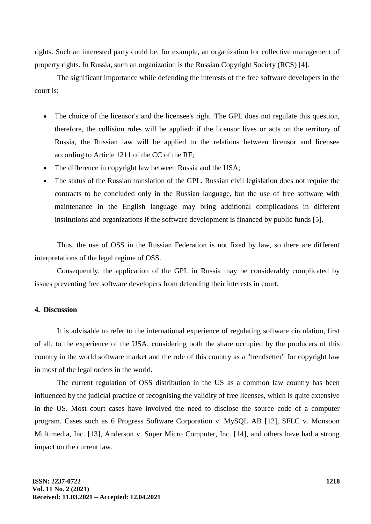rights. Such an interested party could be, for example, an organization for collective management of property rights. In Russia, such an organization is the Russian Copyright Society (RCS) [4].

The significant importance while defending the interests of the free software developers in the court is:

- The choice of the licensor's and the licensee's right. The GPL does not regulate this question, therefore, the collision rules will be applied: if the licensor lives or acts on the territory of Russia, the Russian law will be applied to the relations between licensor and licensee according to Article 1211 of the CC of the RF;
- The difference in copyright law between Russia and the USA;
- The status of the Russian translation of the GPL. Russian civil legislation does not require the contracts to be concluded only in the Russian language, but the use of free software with maintenance in the English language may bring additional complications in different institutions and organizations if the software development is financed by public funds [5].

Thus, the use of OSS in the Russian Federation is not fixed by law, so there are different interpretations of the legal regime of OSS.

Consequently, the application of the GPL in Russia may be considerably complicated by issues preventing free software developers from defending their interests in court.

# **4. Discussion**

It is advisable to refer to the international experience of regulating software circulation, first of all, to the experience of the USA, considering both the share occupied by the producers of this country in the world software market and the role of this country as a "trendsetter" for copyright law in most of the legal orders in the world.

The current regulation of OSS distribution in the US as a common law country has been influenced by the judicial practice of recognising the validity of free licenses, which is quite extensive in the US. Most court cases have involved the need to disclose the source code of a computer program. Cases such as 6 Progress Software Corporation v. MySQL AB [12], SFLC v. Monsoon Multimedia, Inc. [13], Anderson v. Super Micro Computer, Inc. [14], and others have had a strong impact on the current law.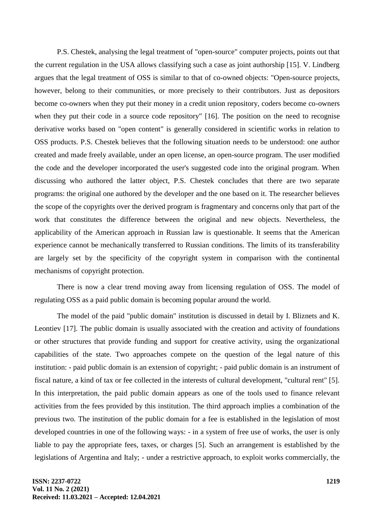P.S. Chestek, analysing the legal treatment of "open-source" computer projects, points out that the current regulation in the USA allows classifying such a case as joint authorship [15]. V. Lindberg argues that the legal treatment of OSS is similar to that of co-owned objects: "Open-source projects, however, belong to their communities, or more precisely to their contributors. Just as depositors become co-owners when they put their money in a credit union repository, coders become co-owners when they put their code in a source code repository" [16]. The position on the need to recognise derivative works based on "open content" is generally considered in scientific works in relation to OSS products. P.S. Chestek believes that the following situation needs to be understood: one author created and made freely available, under an open license, an open-source program. The user modified the code and the developer incorporated the user's suggested code into the original program. When discussing who authored the latter object, P.S. Chestek concludes that there are two separate programs: the original one authored by the developer and the one based on it. The researcher believes the scope of the copyrights over the derived program is fragmentary and concerns only that part of the work that constitutes the difference between the original and new objects. Nevertheless, the applicability of the American approach in Russian law is questionable. It seems that the American experience cannot be mechanically transferred to Russian conditions. The limits of its transferability are largely set by the specificity of the copyright system in comparison with the continental mechanisms of copyright protection.

There is now a clear trend moving away from licensing regulation of OSS. The model of regulating OSS as a paid public domain is becoming popular around the world.

The model of the paid "public domain" institution is discussed in detail by I. Bliznets and K. Leontiev [17]. The public domain is usually associated with the creation and activity of foundations or other structures that provide funding and support for creative activity, using the organizational capabilities of the state. Two approaches compete on the question of the legal nature of this institution: - paid public domain is an extension of copyright; - paid public domain is an instrument of fiscal nature, a kind of tax or fee collected in the interests of cultural development, "cultural rent" [5]. In this interpretation, the paid public domain appears as one of the tools used to finance relevant activities from the fees provided by this institution. The third approach implies a combination of the previous two. The institution of the public domain for a fee is established in the legislation of most developed countries in one of the following ways: - in a system of free use of works, the user is only liable to pay the appropriate fees, taxes, or charges [5]. Such an arrangement is established by the legislations of Argentina and Italy; - under a restrictive approach, to exploit works commercially, the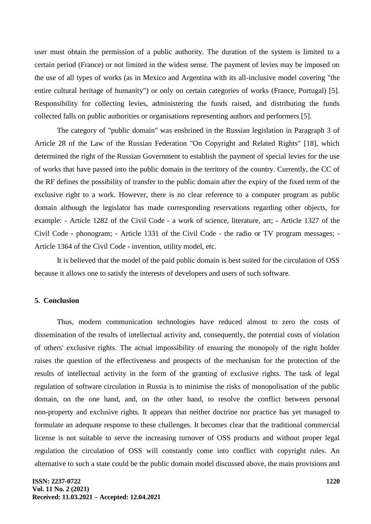user must obtain the permission of a public authority. The duration of the system is limited to a certain period (France) or not limited in the widest sense. The payment of levies may be imposed on the use of all types of works (as in Mexico and Argentina with its all-inclusive model covering "the entire cultural heritage of humanity") or only on certain categories of works (France, Portugal) [5]. Responsibility for collecting levies, administering the funds raised, and distributing the funds collected falls on public authorities or organisations representing authors and performers [5].

The category of "public domain" was enshrined in the Russian legislation in Paragraph 3 of Article 28 of the Law of the Russian Federation "On Copyright and Related Rights" [18], which determined the right of the Russian Government to establish the payment of special levies for the use of works that have passed into the public domain in the territory of the country. Currently, the CC of the RF defines the possibility of transfer to the public domain after the expiry of the fixed term of the exclusive right to a work. However, there is no clear reference to a computer program as public domain although the legislator has made corresponding reservations regarding other objects, for example: - Article 1282 of the Civil Code - a work of science, literature, art; - Article 1327 of the Civil Code - phonogram; - Article 1331 of the Civil Code - the radio or TV program messages; - Article 1364 of the Civil Code - invention, utility model, etc.

It is believed that the model of the paid public domain is best suited for the circulation of OSS because it allows one to satisfy the interests of developers and users of such software.

### **5. Conclusion**

Thus, modern communication technologies have reduced almost to zero the costs of dissemination of the results of intellectual activity and, consequently, the potential costs of violation of others' exclusive rights. The actual impossibility of ensuring the monopoly of the right holder raises the question of the effectiveness and prospects of the mechanism for the protection of the results of intellectual activity in the form of the granting of exclusive rights. The task of legal regulation of software circulation in Russia is to minimise the risks of monopolisation of the public domain, on the one hand, and, on the other hand, to resolve the conflict between personal non-property and exclusive rights. It appears that neither doctrine nor practice has yet managed to formulate an adequate response to these challenges. It becomes clear that the traditional commercial license is not suitable to serve the increasing turnover of OSS products and without proper legal regulation the circulation of OSS will constantly come into conflict with copyright rules. An alternative to such a state could be the public domain model discussed above, the main provisions and